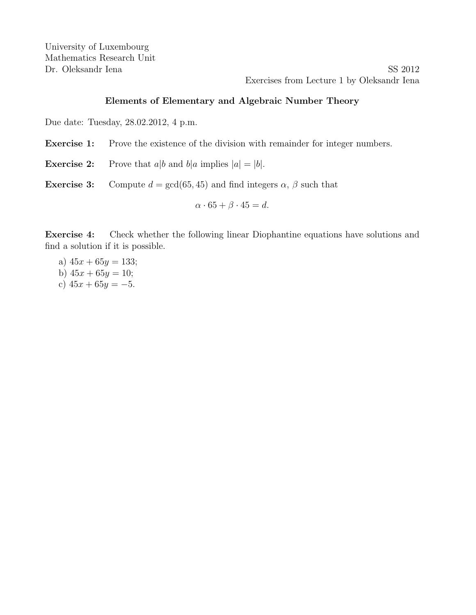Dr. Oleksandr Iena SS 2012 Exercises from Lecture 1 by Oleksandr Iena

## Elements of Elementary and Algebraic Number Theory

Due date: Tuesday, 28.02.2012, 4 p.m.

Exercise 1: Prove the existence of the division with remainder for integer numbers.

**Exercise 2:** Prove that  $a|b$  and  $b|a$  implies  $|a| = |b|$ .

**Exercise 3:** Compute  $d = \gcd(65, 45)$  and find integers  $\alpha$ ,  $\beta$  such that

$$
\alpha \cdot 65 + \beta \cdot 45 = d.
$$

Exercise 4: Check whether the following linear Diophantine equations have solutions and find a solution if it is possible.

a)  $45x + 65y = 133$ ; b)  $45x + 65y = 10$ ; c)  $45x + 65y = -5$ .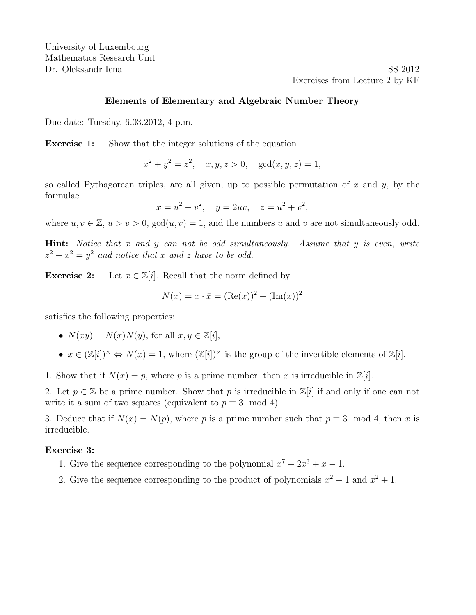Dr. Oleksandr Iena SS 2012 Exercises from Lecture 2 by KF

### Elements of Elementary and Algebraic Number Theory

Due date: Tuesday, 6.03.2012, 4 p.m.

**Exercise 1:** Show that the integer solutions of the equation

 $x^2 + y^2 = z^2$ ,  $x, y, z > 0$ ,  $gcd(x, y, z) = 1$ ,

so called Pythagorean triples, are all given, up to possible permutation of x and y, by the formulae

 $x = u^2 - v^2$ ,  $y = 2uv$ ,  $z = u^2 + v^2$ ,

where  $u, v \in \mathbb{Z}, u > v > 0$ ,  $gcd(u, v) = 1$ , and the numbers u and v are not simultaneously odd.

Hint: Notice that x and y can not be odd simultaneously. Assume that y is even, write  $z^2 - x^2 = y^2$  and notice that x and z have to be odd.

**Exercise 2:** Let  $x \in \mathbb{Z}[i]$ . Recall that the norm defined by

$$
N(x) = x \cdot \bar{x} = (\text{Re}(x))^2 + (\text{Im}(x))^2
$$

satisfies the following properties:

- $N(xy) = N(x)N(y)$ , for all  $x, y \in \mathbb{Z}[i]$ ,
- $x \in (\mathbb{Z}[i])^{\times} \Leftrightarrow N(x) = 1$ , where  $(\mathbb{Z}[i])^{\times}$  is the group of the invertible elements of  $\mathbb{Z}[i]$ .

1. Show that if  $N(x) = p$ , where p is a prime number, then x is irreducible in  $\mathbb{Z}[i]$ .

2. Let  $p \in \mathbb{Z}$  be a prime number. Show that p is irreducible in  $\mathbb{Z}[i]$  if and only if one can not write it a sum of two squares (equivalent to  $p \equiv 3 \mod 4$ ).

3. Deduce that if  $N(x) = N(p)$ , where p is a prime number such that  $p \equiv 3 \mod 4$ , then x is irreducible.

#### Exercise 3:

- 1. Give the sequence corresponding to the polynomial  $x^7 2x^3 + x 1$ .
- 2. Give the sequence corresponding to the product of polynomials  $x^2 1$  and  $x^2 + 1$ .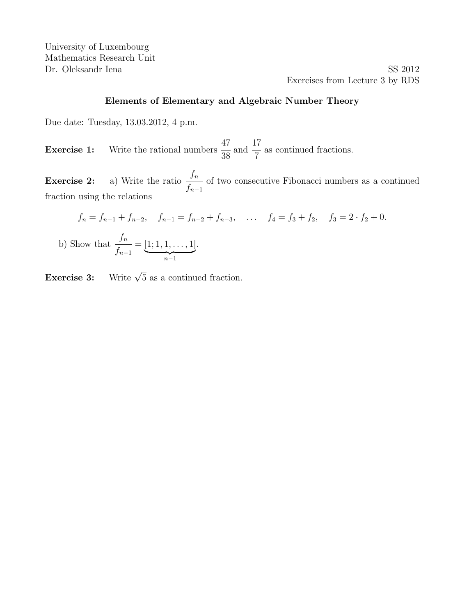University of Luxembourg Mathematics Research Unit Dr. Oleksandr Iena SS 2012

Exercises from Lecture 3 by RDS

## Elements of Elementary and Algebraic Number Theory

Due date: Tuesday, 13.03.2012, 4 p.m.

**Exercise 1:** Write the rational numbers 47 38 and 17 7 as continued fractions.

Exercise 2: a) Write the ratio  $f_n$  $f_{n-1}$ of two consecutive Fibonacci numbers as a continued fraction using the relations

$$
f_n = f_{n-1} + f_{n-2}, \quad f_{n-1} = f_{n-2} + f_{n-3}, \quad \dots \quad f_4 = f_3 + f_2, \quad f_3 = 2 \cdot f_2 + 0.
$$
  
b) Show that 
$$
\frac{f_n}{f_{n-1}} = \underbrace{[1; 1, 1, \dots, 1]}_{n-1}.
$$

Exercise 3: Write  $\sqrt{5}$  as a continued fraction.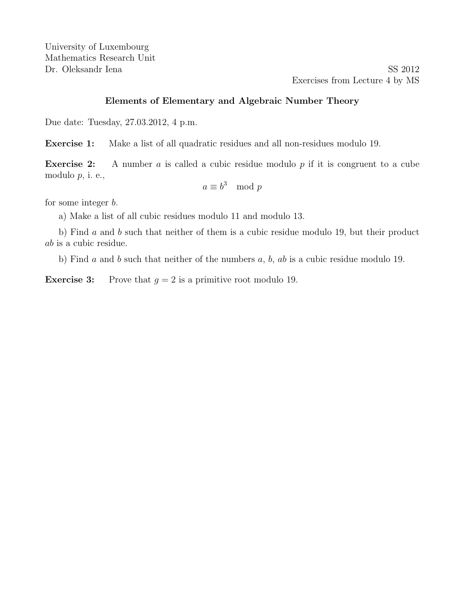Dr. Oleksandr Iena SS 2012 Exercises from Lecture 4 by MS

## Elements of Elementary and Algebraic Number Theory

Due date: Tuesday, 27.03.2012, 4 p.m.

Exercise 1: Make a list of all quadratic residues and all non-residues modulo 19.

**Exercise 2:** A number a is called a cubic residue modulo  $p$  if it is congruent to a cube modulo p, i. e.,

$$
a \equiv b^3 \mod p
$$

for some integer b.

a) Make a list of all cubic residues modulo 11 and modulo 13.

b) Find a and b such that neither of them is a cubic residue modulo 19, but their product ab is a cubic residue.

b) Find  $a$  and  $b$  such that neither of the numbers  $a, b, ab$  is a cubic residue modulo 19.

**Exercise 3:** Prove that  $q = 2$  is a primitive root modulo 19.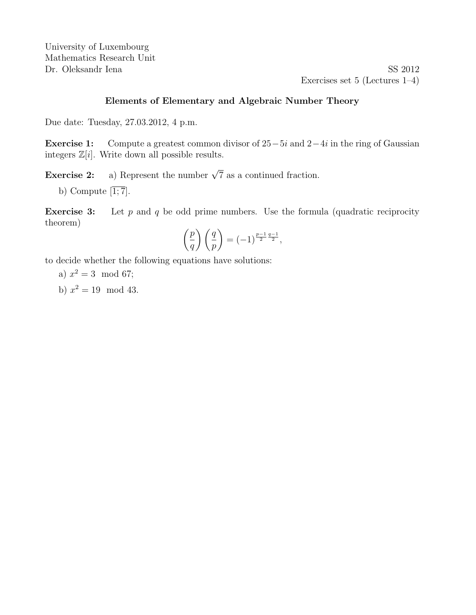University of Luxembourg Mathematics Research Unit Dr. Oleksandr Iena SS 2012

Exercises set 5 (Lectures 1–4)

## Elements of Elementary and Algebraic Number Theory

Due date: Tuesday, 27.03.2012, 4 p.m.

**Exercise 1:** Compute a greatest common divisor of  $25-5i$  and  $2-4i$  in the ring of Gaussian integers  $\mathbb{Z}[i]$ . Write down all possible results.

**Exercise 2:** a) Represent the number  $\sqrt{7}$  as a continued fraction.

b) Compute  $\overline{1,7}$ .

**Exercise 3:** Let  $p$  and  $q$  be odd prime numbers. Use the formula (quadratic reciprocity theorem)

$$
\left(\frac{p}{q}\right)\left(\frac{q}{p}\right) = (-1)^{\frac{p-1}{2}\frac{q-1}{2}},
$$

to decide whether the following equations have solutions:

a) 
$$
x^2 = 3 \mod 67
$$
;

b)  $x^2 = 19 \mod 43$ .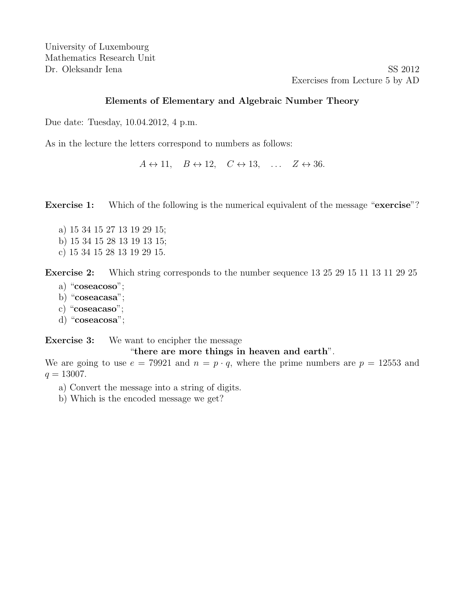Dr. Oleksandr Iena SS 2012 Exercises from Lecture 5 by AD

## Elements of Elementary and Algebraic Number Theory

Due date: Tuesday, 10.04.2012, 4 p.m.

As in the lecture the letters correspond to numbers as follows:

 $A \leftrightarrow 11$ ,  $B \leftrightarrow 12$ ,  $C \leftrightarrow 13$ , ...  $Z \leftrightarrow 36$ .

Exercise 1: Which of the following is the numerical equivalent of the message "exercise"?

- a) 15 34 15 27 13 19 29 15;
- b) 15 34 15 28 13 19 13 15;
- c) 15 34 15 28 13 19 29 15.

Exercise 2: Which string corresponds to the number sequence 13 25 29 15 11 13 11 29 25

- a) "coseacoso";
- b) "coseacasa";
- c) "coseacaso";
- d) "coseacosa";

**Exercise 3:** We want to encipher the message

# "there are more things in heaven and earth".

We are going to use  $e = 79921$  and  $n = p \cdot q$ , where the prime numbers are  $p = 12553$  and  $q = 13007.$ 

- a) Convert the message into a string of digits.
- b) Which is the encoded message we get?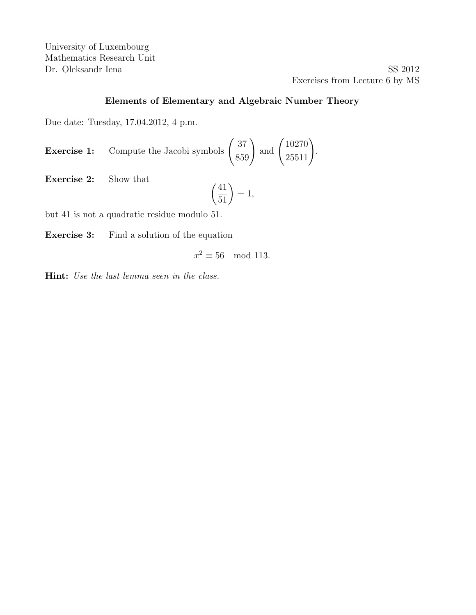University of Luxembourg Mathematics Research Unit Dr. Oleksandr Iena SS 2012

Exercises from Lecture 6 by MS

# Elements of Elementary and Algebraic Number Theory

Due date: Tuesday, 17.04.2012, 4 p.m.

**Exercise 1:** Compute the Jacobi symbols 
$$
\left(\frac{37}{859}\right)
$$
 and  $\left(\frac{10270}{25511}\right)$ .

Exercise 2: Show that

$$
\left(\frac{41}{51}\right) = 1,
$$

but 41 is not a quadratic residue modulo 51.

Exercise 3: Find a solution of the equation

$$
x^2 \equiv 56 \mod 113.
$$

Hint: Use the last lemma seen in the class.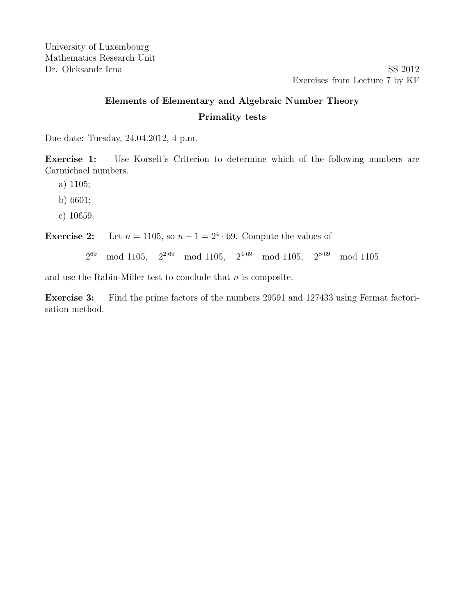# Elements of Elementary and Algebraic Number Theory Primality tests

Due date: Tuesday, 24.04.2012, 4 p.m.

Exercise 1: Use Korselt's Criterion to determine which of the following numbers are Carmichael numbers.

a) 1105;

b) 6601;

c) 10659.

**Exercise 2:** Let  $n = 1105$ , so  $n - 1 = 2^4 \cdot 69$ . Compute the values of

269 mod 1105,  $2^{2.69} \mod 1105$ ,  $2^{4.69} \mod 1105$ ,  $2^{8.69} \mod 1105$ 

and use the Rabin-Miller test to conclude that  $n$  is composite.

Exercise 3: Find the prime factors of the numbers 29591 and 127433 using Fermat factorisation method.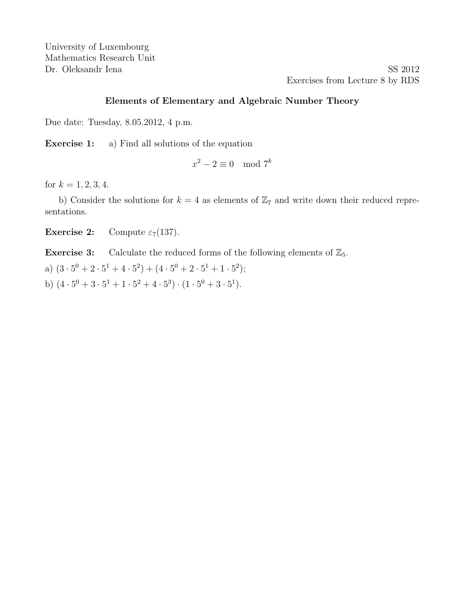Dr. Oleksandr Iena SS 2012 Exercises from Lecture 8 by RDS

### Elements of Elementary and Algebraic Number Theory

Due date: Tuesday, 8.05.2012, 4 p.m.

Exercise 1: a) Find all solutions of the equation

 $x^2 - 2 \equiv 0 \mod 7^k$ 

for  $k = 1, 2, 3, 4$ .

b) Consider the solutions for  $k = 4$  as elements of  $\mathbb{Z}_7$  and write down their reduced representations.

**Exercise 2:** Compute  $\varepsilon_7(137)$ .

**Exercise 3:** Calculate the reduced forms of the following elements of  $\mathbb{Z}_5$ .

a)  $(3 \cdot 5^0 + 2 \cdot 5^1 + 4 \cdot 5^2) + (4 \cdot 5^0 + 2 \cdot 5^1 + 1 \cdot 5^2);$ 

b)  $(4 \cdot 5^0 + 3 \cdot 5^1 + 1 \cdot 5^2 + 4 \cdot 5^3) \cdot (1 \cdot 5^0 + 3 \cdot 5^1)$ .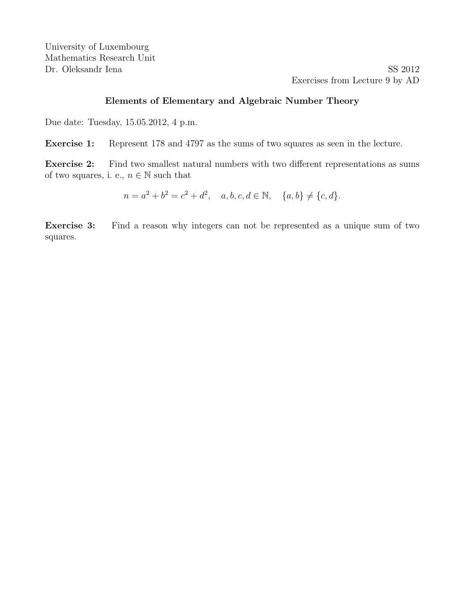Dr. Oleksandr Iena SS 2012 Exercises from Lecture 9 by AD

## Elements of Elementary and Algebraic Number Theory

Due date: Tuesday, 15.05.2012, 4 p.m.

Exercise 1: Represent 178 and 4797 as the sums of two squares as seen in the lecture.

Exercise 2: Find two smallest natural numbers with two different representations as sums of two squares, i. e.,  $n \in \mathbb{N}$  such that

 $n = a^2 + b^2 = c^2 + d^2$ ,  $a, b, c, d \in \mathbb{N}$ ,  $\{a, b\} \neq \{c, d\}.$ 

Exercise 3: Find a reason why integers can not be represented as a unique sum of two squares.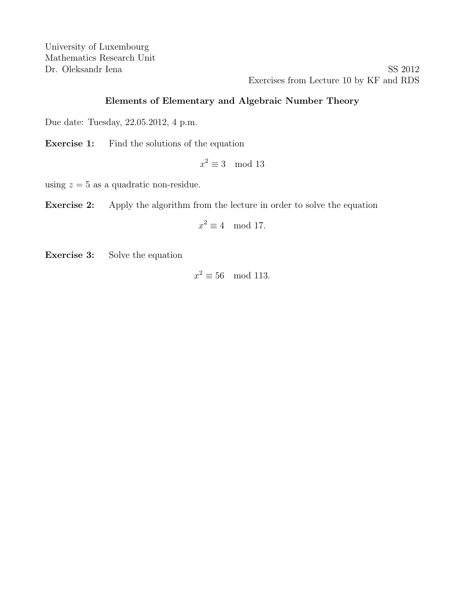Dr. Oleksandr Iena SS 2012 Exercises from Lecture 10 by KF and RDS

## Elements of Elementary and Algebraic Number Theory

Due date: Tuesday, 22.05.2012, 4 p.m.

Exercise 1: Find the solutions of the equation

 $x^2 \equiv 3 \mod 13$ 

using  $z = 5$  as a quadratic non-residue.

Exercise 2: Apply the algorithm from the lecture in order to solve the equation

$$
x^2 \equiv 4 \mod 17.
$$

Exercise 3: Solve the equation

 $x^2 \equiv 56 \mod 113$ .